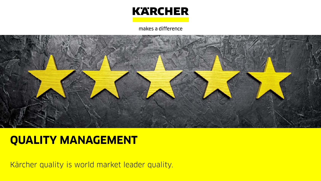

makes a difference



## **QUALITY MANAGEMENT**

Kärcher quality is world market leader quality.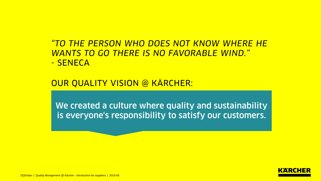*"TO THE PERSON WHO DOES NOT KNOW WHERE HE WANTS TO GO THERE IS NO FAVORABLE WIND."* - SENECA

OUR QUALITY VISION @ KÄRCHER:

We created a culture where quality and sustainability is everyone's responsibility to satisfy our customers.

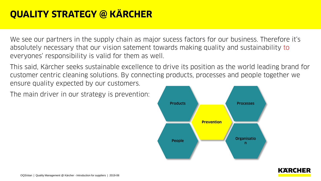## **QUALITY STRATEGY @ KÄRCHER**

We see our partners in the supply chain as major sucess factors for our business. Therefore it's absolutely necessary that our vision satement towards making quality and sustainability to everyones' responsibility is valid for them as well.

This said, Kärcher seeks sustainable excellence to drive its position as the world leading brand for customer centric cleaning solutions. By connecting products, processes and people together we ensure quality expected by our customers.

The main driver in our strategy is prevention:



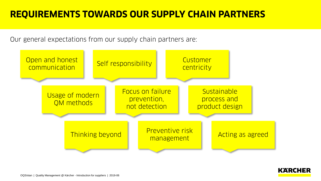### **REQUIREMENTS TOWARDS OUR SUPPLY CHAIN PARTNERS**

Our general expectations from our supply chain partners are:



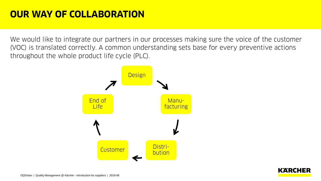We would like to integrate our partners in our processes making sure the voice of the customer (VOC) is translated correctly. A common understanding sets base for every preventive actions throughout the whole product life cycle (PLC).



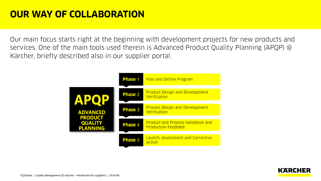Our main focus starts right at the beginning with development projects for new products and services. One of the main tools used therein is Advanced Product Quality Planning (APQP) @ Kärcher, briefly described also in our supplier portal.



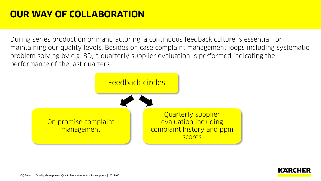During series production or manufacturing, a continuous feedback culture is essential for maintaining our quality levels. Besides on case complaint management loops including systematic problem solving by e.g. 8D, a quarterly supplier evaluation is performed indicating the performance of the last quarters.



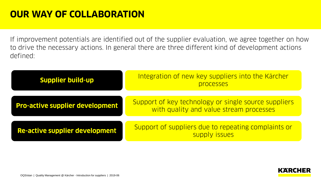If improvement potentials are identified out of the supplier evaluation, we agree together on how to drive the necessary actions. In general there are three different kind of development actions defined:

| <b>Supplier build-up</b>               | Integration of new key suppliers into the Kärcher<br>processes                                  |
|----------------------------------------|-------------------------------------------------------------------------------------------------|
| <b>Pro-active supplier development</b> | Support of key technology or single source suppliers<br>with quality and value stream processes |
| <b>Re-active supplier development</b>  | Support of suppliers due to repeating complaints or<br>supply issues                            |

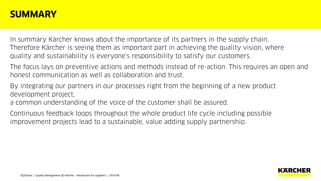#### **SUMMARY**

In summary Kärcher knows about the importance of its partners in the supply chain. Therefore Kärcher is seeing them as important part in achieving the quality vision, where quality and sustainability is everyone's responsibility to satisfy our customers.

The focus lays on preventive actions and methods instead of re-action. This requires an open and honest communication as well as collaboration and trust.

By integrating our partners in our processes right from the beginning of a new product development project,

a common understanding of the voice of the customer shall be assured.

Continuous feedback loops throughout the whole product life cycle including possible improvement projects lead to a sustainable, value adding supply partnership.